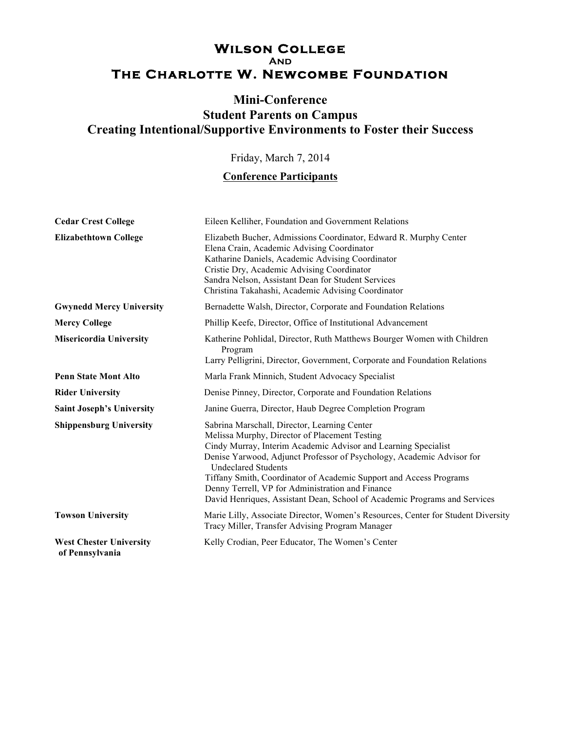## **WILSON COLLEGE The Charlotte W. Newcombe Foundation**

## **Mini-Conference Student Parents on Campus Creating Intentional/Supportive Environments to Foster their Success**

Friday, March 7, 2014

## **Conference Participants**

| <b>Cedar Crest College</b>                        | Eileen Kelliher, Foundation and Government Relations                                                                                                                                                                                                                                                                                                                                                                                                                          |
|---------------------------------------------------|-------------------------------------------------------------------------------------------------------------------------------------------------------------------------------------------------------------------------------------------------------------------------------------------------------------------------------------------------------------------------------------------------------------------------------------------------------------------------------|
| <b>Elizabethtown College</b>                      | Elizabeth Bucher, Admissions Coordinator, Edward R. Murphy Center<br>Elena Crain, Academic Advising Coordinator<br>Katharine Daniels, Academic Advising Coordinator<br>Cristie Dry, Academic Advising Coordinator<br>Sandra Nelson, Assistant Dean for Student Services<br>Christina Takahashi, Academic Advising Coordinator                                                                                                                                                 |
| <b>Gwynedd Mercy University</b>                   | Bernadette Walsh, Director, Corporate and Foundation Relations                                                                                                                                                                                                                                                                                                                                                                                                                |
| <b>Mercy College</b>                              | Phillip Keefe, Director, Office of Institutional Advancement                                                                                                                                                                                                                                                                                                                                                                                                                  |
| <b>Misericordia University</b>                    | Katherine Pohlidal, Director, Ruth Matthews Bourger Women with Children<br>Program<br>Larry Pelligrini, Director, Government, Corporate and Foundation Relations                                                                                                                                                                                                                                                                                                              |
| <b>Penn State Mont Alto</b>                       | Marla Frank Minnich, Student Advocacy Specialist                                                                                                                                                                                                                                                                                                                                                                                                                              |
| <b>Rider University</b>                           | Denise Pinney, Director, Corporate and Foundation Relations                                                                                                                                                                                                                                                                                                                                                                                                                   |
| <b>Saint Joseph's University</b>                  | Janine Guerra, Director, Haub Degree Completion Program                                                                                                                                                                                                                                                                                                                                                                                                                       |
| <b>Shippensburg University</b>                    | Sabrina Marschall, Director, Learning Center<br>Melissa Murphy, Director of Placement Testing<br>Cindy Murray, Interim Academic Advisor and Learning Specialist<br>Denise Yarwood, Adjunct Professor of Psychology, Academic Advisor for<br><b>Undeclared Students</b><br>Tiffany Smith, Coordinator of Academic Support and Access Programs<br>Denny Terrell, VP for Administration and Finance<br>David Henriques, Assistant Dean, School of Academic Programs and Services |
| <b>Towson University</b>                          | Marie Lilly, Associate Director, Women's Resources, Center for Student Diversity<br>Tracy Miller, Transfer Advising Program Manager                                                                                                                                                                                                                                                                                                                                           |
| <b>West Chester University</b><br>of Pennsylvania | Kelly Crodian, Peer Educator, The Women's Center                                                                                                                                                                                                                                                                                                                                                                                                                              |